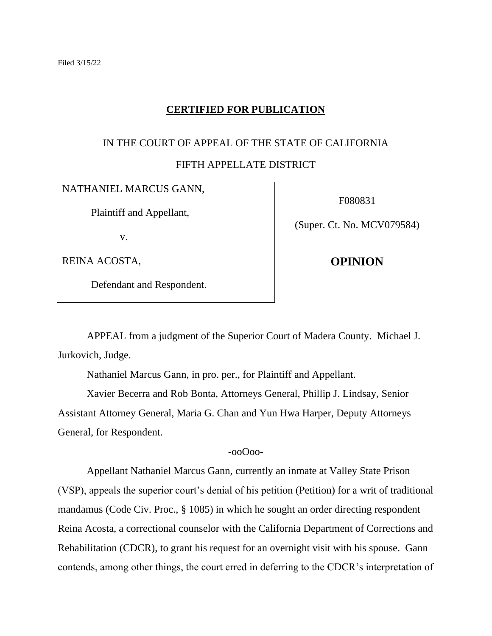## **CERTIFIED FOR PUBLICATION**

# IN THE COURT OF APPEAL OF THE STATE OF CALIFORNIA

# FIFTH APPELLATE DISTRICT

#### NATHANIEL MARCUS GANN,

Plaintiff and Appellant,

v.

REINA ACOSTA,

Defendant and Respondent.

F080831

(Super. Ct. No. MCV079584)

**OPINION**

APPEAL from a judgment of the Superior Court of Madera County. Michael J. Jurkovich, Judge.

Nathaniel Marcus Gann, in pro. per., for Plaintiff and Appellant.

Xavier Becerra and Rob Bonta, Attorneys General, Phillip J. Lindsay, Senior Assistant Attorney General, Maria G. Chan and Yun Hwa Harper, Deputy Attorneys General, for Respondent.

## -ooOoo-

Appellant Nathaniel Marcus Gann, currently an inmate at Valley State Prison (VSP), appeals the superior court's denial of his petition (Petition) for a writ of traditional mandamus (Code Civ. Proc., § 1085) in which he sought an order directing respondent Reina Acosta, a correctional counselor with the California Department of Corrections and Rehabilitation (CDCR), to grant his request for an overnight visit with his spouse. Gann contends, among other things, the court erred in deferring to the CDCR's interpretation of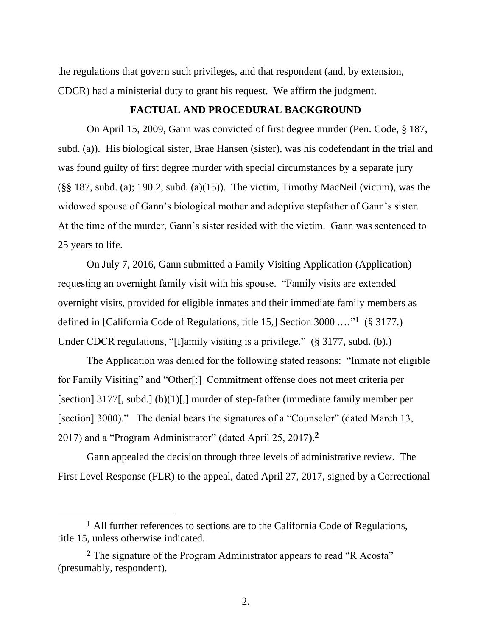the regulations that govern such privileges, and that respondent (and, by extension, CDCR) had a ministerial duty to grant his request. We affirm the judgment.

# **FACTUAL AND PROCEDURAL BACKGROUND**

On April 15, 2009, Gann was convicted of first degree murder (Pen. Code, § 187, subd. (a)). His biological sister, Brae Hansen (sister), was his codefendant in the trial and was found guilty of first degree murder with special circumstances by a separate jury  $(\S$ § 187, subd. (a); 190.2, subd. (a)(15)). The victim, Timothy MacNeil (victim), was the widowed spouse of Gann's biological mother and adoptive stepfather of Gann's sister. At the time of the murder, Gann's sister resided with the victim. Gann was sentenced to 25 years to life.

On July 7, 2016, Gann submitted a Family Visiting Application (Application) requesting an overnight family visit with his spouse. "Family visits are extended overnight visits, provided for eligible inmates and their immediate family members as defined in [California Code of Regulations, title 15,] Section 3000 .…"**<sup>1</sup>** (§ 3177.) Under CDCR regulations, "[f]amily visiting is a privilege." (§ 3177, subd. (b).)

The Application was denied for the following stated reasons: "Inmate not eligible for Family Visiting" and "Other[:] Commitment offense does not meet criteria per [section] 3177[, subd.] (b)(1)[,] murder of step-father (immediate family member per [section] 3000)." The denial bears the signatures of a "Counselor" (dated March 13, 2017) and a "Program Administrator" (dated April 25, 2017).**<sup>2</sup>**

Gann appealed the decision through three levels of administrative review. The First Level Response (FLR) to the appeal, dated April 27, 2017, signed by a Correctional

**<sup>1</sup>** All further references to sections are to the California Code of Regulations, title 15, unless otherwise indicated.

**<sup>2</sup>** The signature of the Program Administrator appears to read "R Acosta" (presumably, respondent).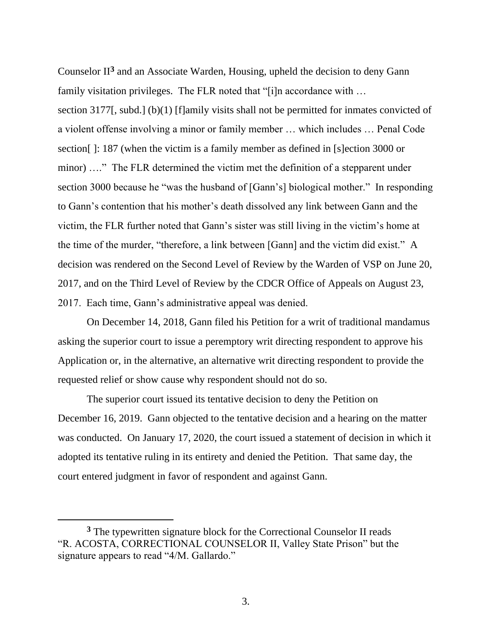Counselor II**<sup>3</sup>** and an Associate Warden, Housing, upheld the decision to deny Gann family visitation privileges. The FLR noted that "[i]n accordance with ... section 3177[, subd.] (b)(1) [f]amily visits shall not be permitted for inmates convicted of a violent offense involving a minor or family member … which includes … Penal Code section[ ]: 187 (when the victim is a family member as defined in [s]ection 3000 or minor) …." The FLR determined the victim met the definition of a stepparent under section 3000 because he "was the husband of [Gann's] biological mother." In responding to Gann's contention that his mother's death dissolved any link between Gann and the victim, the FLR further noted that Gann's sister was still living in the victim's home at the time of the murder, "therefore, a link between [Gann] and the victim did exist." A decision was rendered on the Second Level of Review by the Warden of VSP on June 20, 2017, and on the Third Level of Review by the CDCR Office of Appeals on August 23, 2017. Each time, Gann's administrative appeal was denied.

On December 14, 2018, Gann filed his Petition for a writ of traditional mandamus asking the superior court to issue a peremptory writ directing respondent to approve his Application or, in the alternative, an alternative writ directing respondent to provide the requested relief or show cause why respondent should not do so.

The superior court issued its tentative decision to deny the Petition on December 16, 2019. Gann objected to the tentative decision and a hearing on the matter was conducted. On January 17, 2020, the court issued a statement of decision in which it adopted its tentative ruling in its entirety and denied the Petition. That same day, the court entered judgment in favor of respondent and against Gann.

**<sup>3</sup>** The typewritten signature block for the Correctional Counselor II reads "R. ACOSTA, CORRECTIONAL COUNSELOR II, Valley State Prison" but the signature appears to read "4/M. Gallardo."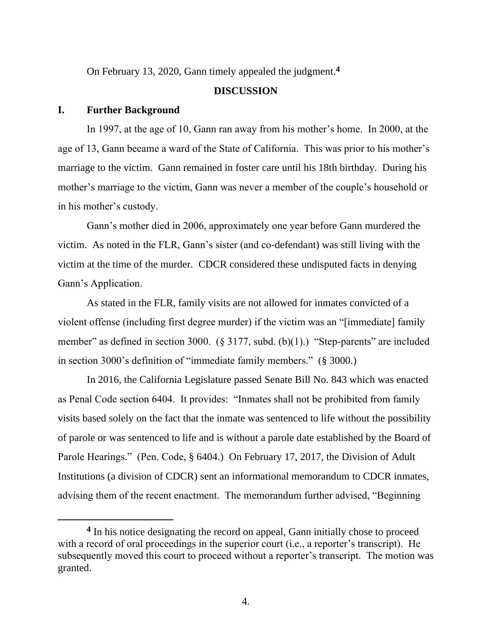On February 13, 2020, Gann timely appealed the judgment.**<sup>4</sup>**

#### **DISCUSSION**

## **I. Further Background**

In 1997, at the age of 10, Gann ran away from his mother's home. In 2000, at the age of 13, Gann became a ward of the State of California. This was prior to his mother's marriage to the victim. Gann remained in foster care until his 18th birthday. During his mother's marriage to the victim, Gann was never a member of the couple's household or in his mother's custody.

Gann's mother died in 2006, approximately one year before Gann murdered the victim. As noted in the FLR, Gann's sister (and co-defendant) was still living with the victim at the time of the murder. CDCR considered these undisputed facts in denying Gann's Application.

As stated in the FLR, family visits are not allowed for inmates convicted of a violent offense (including first degree murder) if the victim was an "[immediate] family member" as defined in section 3000. (§ 3177, subd. (b)(1).) "Step-parents" are included in section 3000's definition of "immediate family members." (§ 3000.)

In 2016, the California Legislature passed Senate Bill No. 843 which was enacted as Penal Code section 6404. It provides: "Inmates shall not be prohibited from family visits based solely on the fact that the inmate was sentenced to life without the possibility of parole or was sentenced to life and is without a parole date established by the Board of Parole Hearings." (Pen. Code, § 6404.) On February 17, 2017, the Division of Adult Institutions (a division of CDCR) sent an informational memorandum to CDCR inmates, advising them of the recent enactment. The memorandum further advised, "Beginning

**<sup>4</sup>** In his notice designating the record on appeal, Gann initially chose to proceed with a record of oral proceedings in the superior court (i.e., a reporter's transcript). He subsequently moved this court to proceed without a reporter's transcript. The motion was granted.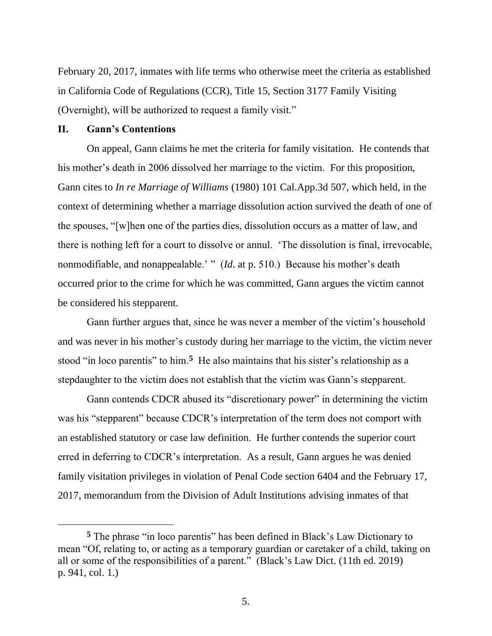February 20, 2017, inmates with life terms who otherwise meet the criteria as established in California Code of Regulations (CCR), Title 15, Section 3177 Family Visiting (Overnight), will be authorized to request a family visit."

## **II. Gann's Contentions**

On appeal, Gann claims he met the criteria for family visitation. He contends that his mother's death in 2006 dissolved her marriage to the victim. For this proposition, Gann cites to *In re Marriage of Williams* (1980) 101 Cal.App.3d 507, which held, in the context of determining whether a marriage dissolution action survived the death of one of the spouses, "[w]hen one of the parties dies, dissolution occurs as a matter of law, and there is nothing left for a court to dissolve or annul. 'The dissolution is final, irrevocable, nonmodifiable, and nonappealable.' " (*Id*. at p. 510.) Because his mother's death occurred prior to the crime for which he was committed, Gann argues the victim cannot be considered his stepparent.

Gann further argues that, since he was never a member of the victim's household and was never in his mother's custody during her marriage to the victim, the victim never stood "in loco parentis" to him.<sup>5</sup> He also maintains that his sister's relationship as a stepdaughter to the victim does not establish that the victim was Gann's stepparent.

Gann contends CDCR abused its "discretionary power" in determining the victim was his "stepparent" because CDCR's interpretation of the term does not comport with an established statutory or case law definition. He further contends the superior court erred in deferring to CDCR's interpretation. As a result, Gann argues he was denied family visitation privileges in violation of Penal Code section 6404 and the February 17, 2017, memorandum from the Division of Adult Institutions advising inmates of that

**<sup>5</sup>** The phrase "in loco parentis" has been defined in Black's Law Dictionary to mean "Of, relating to, or acting as a temporary guardian or caretaker of a child, taking on all or some of the responsibilities of a parent." (Black's Law Dict. (11th ed. 2019) p. 941, col. 1.)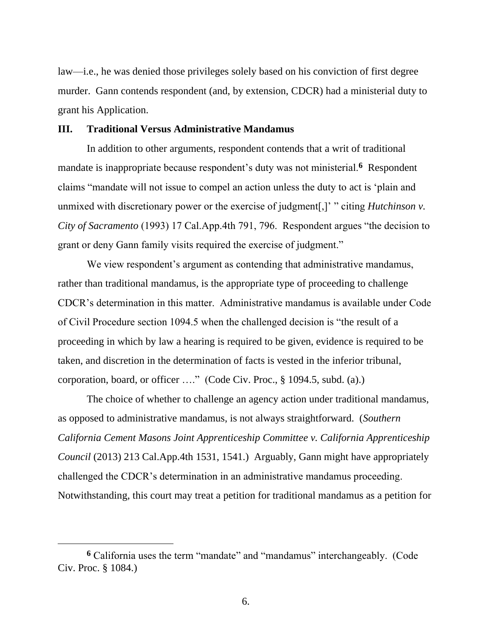law—i.e., he was denied those privileges solely based on his conviction of first degree murder. Gann contends respondent (and, by extension, CDCR) had a ministerial duty to grant his Application.

#### **III. Traditional Versus Administrative Mandamus**

In addition to other arguments, respondent contends that a writ of traditional mandate is inappropriate because respondent's duty was not ministerial.**<sup>6</sup>** Respondent claims "mandate will not issue to compel an action unless the duty to act is 'plain and unmixed with discretionary power or the exercise of judgment[,]' " citing *Hutchinson v. City of Sacramento* (1993) 17 Cal.App.4th 791, 796. Respondent argues "the decision to grant or deny Gann family visits required the exercise of judgment."

We view respondent's argument as contending that administrative mandamus, rather than traditional mandamus, is the appropriate type of proceeding to challenge CDCR's determination in this matter. Administrative mandamus is available under Code of Civil Procedure section 1094.5 when the challenged decision is "the result of a proceeding in which by law a hearing is required to be given, evidence is required to be taken, and discretion in the determination of facts is vested in the inferior tribunal, corporation, board, or officer …." (Code Civ. Proc., § 1094.5, subd. (a).)

The choice of whether to challenge an agency action under traditional mandamus, as opposed to administrative mandamus, is not always straightforward. (*Southern California Cement Masons Joint Apprenticeship Committee v. California Apprenticeship Council* (2013) 213 Cal.App.4th 1531, 1541.) Arguably, Gann might have appropriately challenged the CDCR's determination in an administrative mandamus proceeding. Notwithstanding, this court may treat a petition for traditional mandamus as a petition for

**<sup>6</sup>** California uses the term "mandate" and "mandamus" interchangeably. (Code Civ. Proc. § 1084.)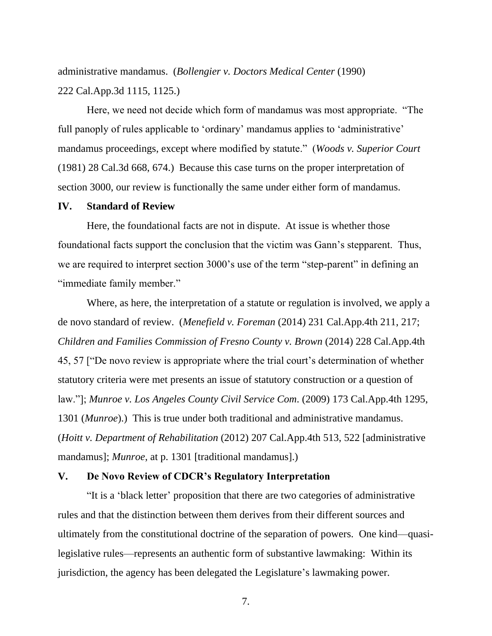administrative mandamus. (*Bollengier v. Doctors Medical Center* (1990) 222 Cal.App.3d 1115, 1125.)

Here, we need not decide which form of mandamus was most appropriate. "The full panoply of rules applicable to 'ordinary' mandamus applies to 'administrative' mandamus proceedings, except where modified by statute." (*Woods v. Superior Court* (1981) 28 Cal.3d 668, 674.) Because this case turns on the proper interpretation of section 3000, our review is functionally the same under either form of mandamus.

#### **IV. Standard of Review**

Here, the foundational facts are not in dispute. At issue is whether those foundational facts support the conclusion that the victim was Gann's stepparent. Thus, we are required to interpret section 3000's use of the term "step-parent" in defining an "immediate family member."

Where, as here, the interpretation of a statute or regulation is involved, we apply a de novo standard of review. (*Menefield v. Foreman* (2014) 231 Cal.App.4th 211, 217; *Children and Families Commission of Fresno County v. Brown* (2014) 228 Cal.App.4th 45, 57 ["De novo review is appropriate where the trial court's determination of whether statutory criteria were met presents an issue of statutory construction or a question of law."]; *Munroe v. Los Angeles County Civil Service Com*. (2009) 173 Cal.App.4th 1295, 1301 (*Munroe*).) This is true under both traditional and administrative mandamus. (*Hoitt v. Department of Rehabilitation* (2012) 207 Cal.App.4th 513, 522 [administrative mandamus]; *Munroe*, at p. 1301 [traditional mandamus].)

## **V. De Novo Review of CDCR's Regulatory Interpretation**

"It is a 'black letter' proposition that there are two categories of administrative rules and that the distinction between them derives from their different sources and ultimately from the constitutional doctrine of the separation of powers. One kind—quasilegislative rules—represents an authentic form of substantive lawmaking: Within its jurisdiction, the agency has been delegated the Legislature's lawmaking power.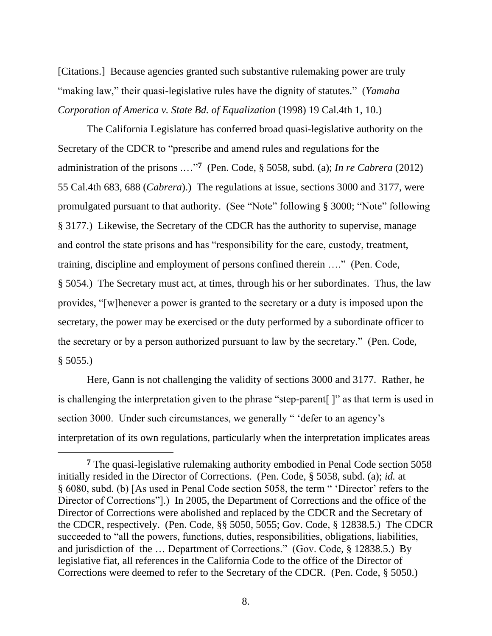[Citations.] Because agencies granted such substantive rulemaking power are truly "making law," their quasi-legislative rules have the dignity of statutes." (*Yamaha Corporation of America v. State Bd. of Equalization* (1998) 19 Cal.4th 1, 10.)

The California Legislature has conferred broad quasi-legislative authority on the Secretary of the CDCR to "prescribe and amend rules and regulations for the administration of the prisons .…"**<sup>7</sup>** (Pen. Code, § 5058, subd. (a); *In re Cabrera* (2012) 55 Cal.4th 683, 688 (*Cabrera*).) The regulations at issue, sections 3000 and 3177, were promulgated pursuant to that authority. (See "Note" following § 3000; "Note" following § 3177.) Likewise, the Secretary of the CDCR has the authority to supervise, manage and control the state prisons and has "responsibility for the care, custody, treatment, training, discipline and employment of persons confined therein …." (Pen. Code, § 5054.) The Secretary must act, at times, through his or her subordinates. Thus, the law provides, "[w]henever a power is granted to the secretary or a duty is imposed upon the secretary, the power may be exercised or the duty performed by a subordinate officer to the secretary or by a person authorized pursuant to law by the secretary." (Pen. Code,  $§ 5055.$ 

Here, Gann is not challenging the validity of sections 3000 and 3177. Rather, he is challenging the interpretation given to the phrase "step-parent[ ]" as that term is used in section 3000. Under such circumstances, we generally " 'defer to an agency's interpretation of its own regulations, particularly when the interpretation implicates areas

**<sup>7</sup>** The quasi-legislative rulemaking authority embodied in Penal Code section 5058 initially resided in the Director of Corrections. (Pen. Code, § 5058, subd. (a); *id.* at § 6080, subd. (b) [As used in Penal Code section 5058, the term " 'Director' refers to the Director of Corrections"... In 2005, the Department of Corrections and the office of the Director of Corrections were abolished and replaced by the CDCR and the Secretary of the CDCR, respectively. (Pen. Code, §§ 5050, 5055; Gov. Code, § 12838.5.) The CDCR succeeded to "all the powers, functions, duties, responsibilities, obligations, liabilities, and jurisdiction of the … Department of Corrections." (Gov. Code, § 12838.5.) By legislative fiat, all references in the California Code to the office of the Director of Corrections were deemed to refer to the Secretary of the CDCR. (Pen. Code, § 5050.)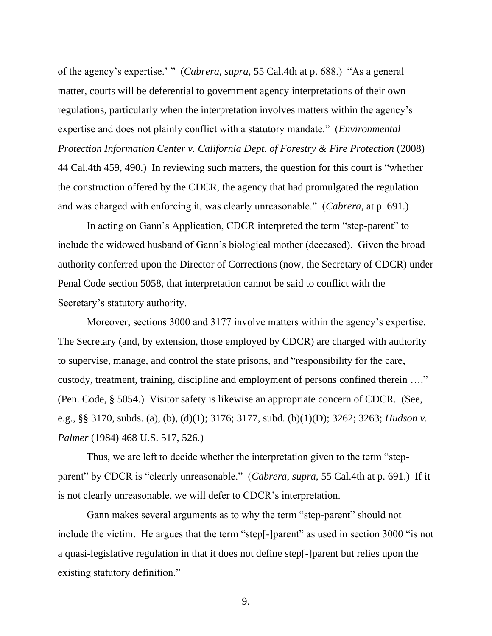of the agency's expertise.' " (*Cabrera*, *supra*, 55 Cal.4th at p. 688.) "As a general matter, courts will be deferential to government agency interpretations of their own regulations, particularly when the interpretation involves matters within the agency's expertise and does not plainly conflict with a statutory mandate." (*Environmental Protection Information Center v. California Dept. of Forestry & Fire Protection* (2008) 44 Cal.4th 459, 490.) In reviewing such matters, the question for this court is "whether the construction offered by the CDCR, the agency that had promulgated the regulation and was charged with enforcing it, was clearly unreasonable." (*Cabrera*, at p. 691.)

In acting on Gann's Application, CDCR interpreted the term "step-parent" to include the widowed husband of Gann's biological mother (deceased). Given the broad authority conferred upon the Director of Corrections (now, the Secretary of CDCR) under Penal Code section 5058, that interpretation cannot be said to conflict with the Secretary's statutory authority.

Moreover, sections 3000 and 3177 involve matters within the agency's expertise. The Secretary (and, by extension, those employed by CDCR) are charged with authority to supervise, manage, and control the state prisons, and "responsibility for the care, custody, treatment, training, discipline and employment of persons confined therein …." (Pen. Code, § 5054.) Visitor safety is likewise an appropriate concern of CDCR. (See, e.g., §§ 3170, subds. (a), (b), (d)(1); 3176; 3177, subd. (b)(1)(D); 3262; 3263; *Hudson v. Palmer* (1984) 468 U.S. 517, 526.)

Thus, we are left to decide whether the interpretation given to the term "stepparent" by CDCR is "clearly unreasonable." (*Cabrera*, *supra*, 55 Cal.4th at p. 691.) If it is not clearly unreasonable, we will defer to CDCR's interpretation.

Gann makes several arguments as to why the term "step-parent" should not include the victim. He argues that the term "step[-]parent" as used in section 3000 "is not a quasi-legislative regulation in that it does not define step[-]parent but relies upon the existing statutory definition."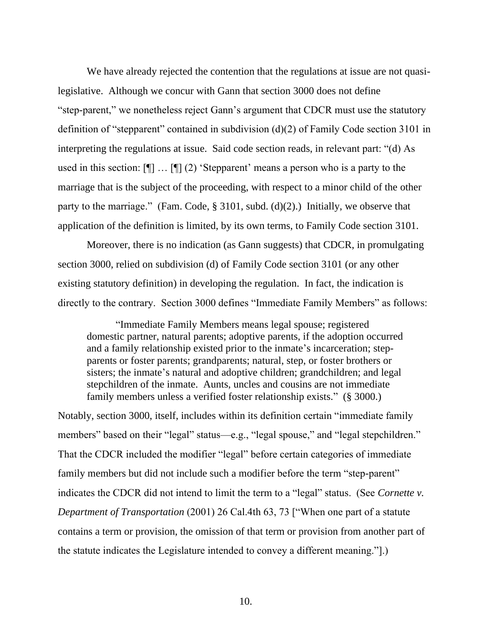We have already rejected the contention that the regulations at issue are not quasilegislative. Although we concur with Gann that section 3000 does not define "step-parent," we nonetheless reject Gann's argument that CDCR must use the statutory definition of "stepparent" contained in subdivision (d)(2) of Family Code section 3101 in interpreting the regulations at issue. Said code section reads, in relevant part: "(d) As used in this section: [¶] … [¶] (2) 'Stepparent' means a person who is a party to the marriage that is the subject of the proceeding, with respect to a minor child of the other party to the marriage." (Fam. Code,  $\S$  3101, subd. (d)(2).) Initially, we observe that application of the definition is limited, by its own terms, to Family Code section 3101.

Moreover, there is no indication (as Gann suggests) that CDCR, in promulgating section 3000, relied on subdivision (d) of Family Code section 3101 (or any other existing statutory definition) in developing the regulation. In fact, the indication is directly to the contrary. Section 3000 defines "Immediate Family Members" as follows:

"Immediate Family Members means legal spouse; registered domestic partner, natural parents; adoptive parents, if the adoption occurred and a family relationship existed prior to the inmate's incarceration; stepparents or foster parents; grandparents; natural, step, or foster brothers or sisters; the inmate's natural and adoptive children; grandchildren; and legal stepchildren of the inmate. Aunts, uncles and cousins are not immediate family members unless a verified foster relationship exists." (§ 3000.)

Notably, section 3000, itself, includes within its definition certain "immediate family members" based on their "legal" status—e.g., "legal spouse," and "legal stepchildren." That the CDCR included the modifier "legal" before certain categories of immediate family members but did not include such a modifier before the term "step-parent" indicates the CDCR did not intend to limit the term to a "legal" status. (See *Cornette v. Department of Transportation* (2001) 26 Cal.4th 63, 73 ["When one part of a statute contains a term or provision, the omission of that term or provision from another part of the statute indicates the Legislature intended to convey a different meaning."].)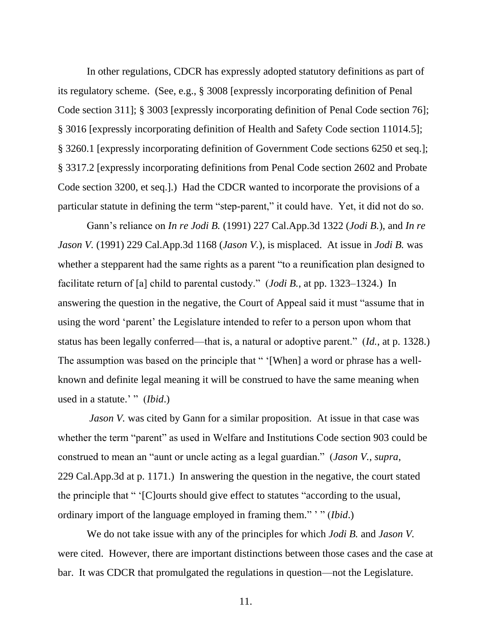In other regulations, CDCR has expressly adopted statutory definitions as part of its regulatory scheme. (See, e.g., § 3008 [expressly incorporating definition of Penal Code section 311]; § 3003 [expressly incorporating definition of Penal Code section 76]; § 3016 [expressly incorporating definition of Health and Safety Code section 11014.5]; § 3260.1 [expressly incorporating definition of Government Code sections 6250 et seq.]; § 3317.2 [expressly incorporating definitions from Penal Code section 2602 and Probate Code section 3200, et seq.].) Had the CDCR wanted to incorporate the provisions of a particular statute in defining the term "step-parent," it could have. Yet, it did not do so.

Gann's reliance on *In re Jodi B.* (1991) 227 Cal.App.3d 1322 (*Jodi B.*), and *In re Jason V.* (1991) 229 Cal.App.3d 1168 (*Jason V.*), is misplaced. At issue in *Jodi B.* was whether a stepparent had the same rights as a parent "to a reunification plan designed to facilitate return of [a] child to parental custody." (*Jodi B.*, at pp. 1323–1324.) In answering the question in the negative, the Court of Appeal said it must "assume that in using the word 'parent' the Legislature intended to refer to a person upon whom that status has been legally conferred—that is, a natural or adoptive parent." (*Id.*, at p. 1328.) The assumption was based on the principle that " '[When] a word or phrase has a wellknown and definite legal meaning it will be construed to have the same meaning when used in a statute.' " (*Ibid*.)

*Jason V*. was cited by Gann for a similar proposition. At issue in that case was whether the term "parent" as used in Welfare and Institutions Code section 903 could be construed to mean an "aunt or uncle acting as a legal guardian." (*Jason V.*, *supra*, 229 Cal.App.3d at p. 1171.) In answering the question in the negative, the court stated the principle that " '[C]ourts should give effect to statutes "according to the usual, ordinary import of the language employed in framing them." ' " (*Ibid*.)

We do not take issue with any of the principles for which *Jodi B.* and *Jason V.* were cited. However, there are important distinctions between those cases and the case at bar. It was CDCR that promulgated the regulations in question—not the Legislature.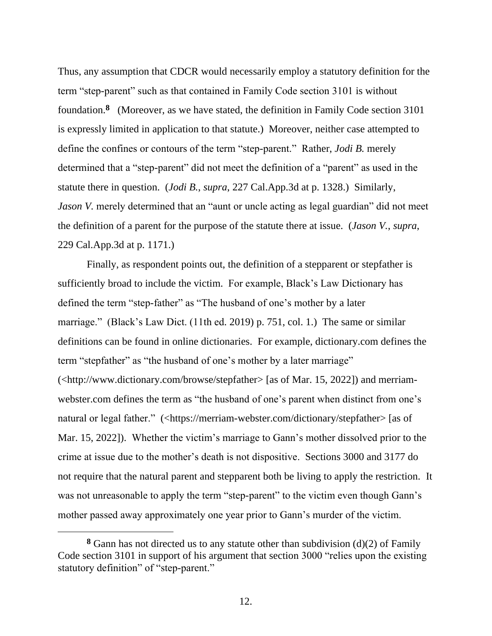Thus, any assumption that CDCR would necessarily employ a statutory definition for the term "step-parent" such as that contained in Family Code section 3101 is without foundation.**<sup>8</sup>** (Moreover, as we have stated, the definition in Family Code section 3101 is expressly limited in application to that statute.) Moreover, neither case attempted to define the confines or contours of the term "step-parent." Rather, *Jodi B.* merely determined that a "step-parent" did not meet the definition of a "parent" as used in the statute there in question. (*Jodi B.*, *supra*, 227 Cal.App.3d at p. 1328.) Similarly, *Jason V*. merely determined that an "aunt or uncle acting as legal guardian" did not meet the definition of a parent for the purpose of the statute there at issue. (*Jason V.*, *supra*, 229 Cal.App.3d at p. 1171.)

Finally, as respondent points out, the definition of a stepparent or stepfather is sufficiently broad to include the victim. For example, Black's Law Dictionary has defined the term "step-father" as "The husband of one's mother by a later marriage." (Black's Law Dict. (11th ed. 2019) p. 751, col. 1.) The same or similar definitions can be found in online dictionaries. For example, dictionary.com defines the term "stepfather" as "the husband of one's mother by a later marriage" (<http://www.dictionary.com/browse/stepfather> [as of Mar. 15, 2022]) and merriamwebster.com defines the term as "the husband of one's parent when distinct from one's natural or legal father." (<https://merriam-webster.com/dictionary/stepfather> [as of Mar. 15, 2022]). Whether the victim's marriage to Gann's mother dissolved prior to the crime at issue due to the mother's death is not dispositive. Sections 3000 and 3177 do not require that the natural parent and stepparent both be living to apply the restriction. It was not unreasonable to apply the term "step-parent" to the victim even though Gann's mother passed away approximately one year prior to Gann's murder of the victim.

**<sup>8</sup>** Gann has not directed us to any statute other than subdivision (d)(2) of Family Code section 3101 in support of his argument that section 3000 "relies upon the existing statutory definition" of "step-parent."